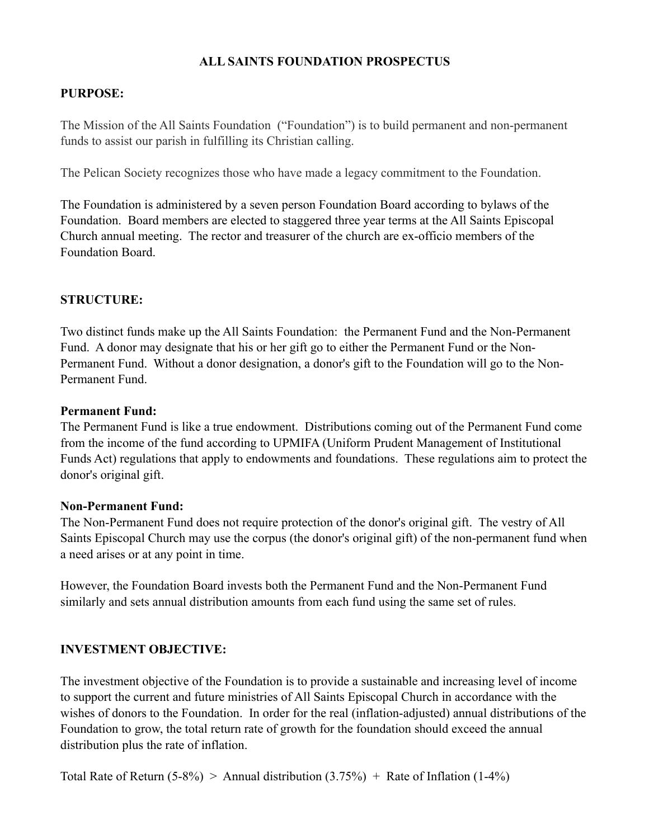## **ALL SAINTS FOUNDATION PROSPECTUS**

## **PURPOSE:**

The Mission of the All Saints Foundation ("Foundation") is to build permanent and non-permanent funds to assist our parish in fulfilling its Christian calling.

The Pelican Society recognizes those who have made a legacy commitment to the Foundation.

The Foundation is administered by a seven person Foundation Board according to bylaws of the Foundation. Board members are elected to staggered three year terms at the All Saints Episcopal Church annual meeting. The rector and treasurer of the church are ex-officio members of the Foundation Board.

## **STRUCTURE:**

Two distinct funds make up the All Saints Foundation: the Permanent Fund and the Non-Permanent Fund. A donor may designate that his or her gift go to either the Permanent Fund or the Non-Permanent Fund. Without a donor designation, a donor's gift to the Foundation will go to the Non-Permanent Fund.

### **Permanent Fund:**

The Permanent Fund is like a true endowment. Distributions coming out of the Permanent Fund come from the income of the fund according to UPMIFA (Uniform Prudent Management of Institutional Funds Act) regulations that apply to endowments and foundations. These regulations aim to protect the donor's original gift.

#### **Non-Permanent Fund:**

The Non-Permanent Fund does not require protection of the donor's original gift. The vestry of All Saints Episcopal Church may use the corpus (the donor's original gift) of the non-permanent fund when a need arises or at any point in time.

However, the Foundation Board invests both the Permanent Fund and the Non-Permanent Fund similarly and sets annual distribution amounts from each fund using the same set of rules.

## **INVESTMENT OBJECTIVE:**

The investment objective of the Foundation is to provide a sustainable and increasing level of income to support the current and future ministries of All Saints Episcopal Church in accordance with the wishes of donors to the Foundation. In order for the real (inflation-adjusted) annual distributions of the Foundation to grow, the total return rate of growth for the foundation should exceed the annual distribution plus the rate of inflation.

Total Rate of Return  $(5-8\%)$  > Annual distribution  $(3.75\%)$  + Rate of Inflation  $(1-4\%)$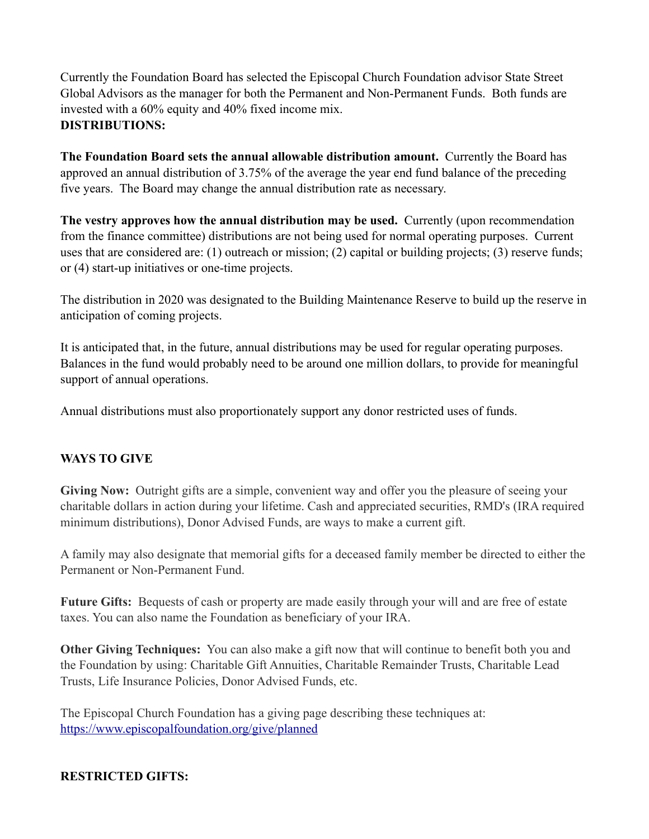Currently the Foundation Board has selected the Episcopal Church Foundation advisor State Street Global Advisors as the manager for both the Permanent and Non-Permanent Funds. Both funds are invested with a 60% equity and 40% fixed income mix. **DISTRIBUTIONS:** 

**The Foundation Board sets the annual allowable distribution amount.** Currently the Board has approved an annual distribution of 3.75% of the average the year end fund balance of the preceding five years. The Board may change the annual distribution rate as necessary.

**The vestry approves how the annual distribution may be used.** Currently (upon recommendation from the finance committee) distributions are not being used for normal operating purposes. Current uses that are considered are: (1) outreach or mission; (2) capital or building projects; (3) reserve funds; or (4) start-up initiatives or one-time projects.

The distribution in 2020 was designated to the Building Maintenance Reserve to build up the reserve in anticipation of coming projects.

It is anticipated that, in the future, annual distributions may be used for regular operating purposes. Balances in the fund would probably need to be around one million dollars, to provide for meaningful support of annual operations.

Annual distributions must also proportionately support any donor restricted uses of funds.

## **WAYS TO GIVE**

**Giving Now:** Outright gifts are a simple, convenient way and offer you the pleasure of seeing your charitable dollars in action during your lifetime. Cash and appreciated securities, RMD's (IRA required minimum distributions), Donor Advised Funds, are ways to make a current gift.

A family may also designate that memorial gifts for a deceased family member be directed to either the Permanent or Non-Permanent Fund.

**Future Gifts:** Bequests of cash or property are made easily through your will and are free of estate taxes. You can also name the Foundation as beneficiary of your IRA.

**Other Giving Techniques:** You can also make a gift now that will continue to benefit both you and the Foundation by using: Charitable Gift Annuities, Charitable Remainder Trusts, Charitable Lead Trusts, Life Insurance Policies, Donor Advised Funds, etc.

The Episcopal Church Foundation has a giving page describing these techniques at: <https://www.episcopalfoundation.org/give/planned>

## **RESTRICTED GIFTS:**